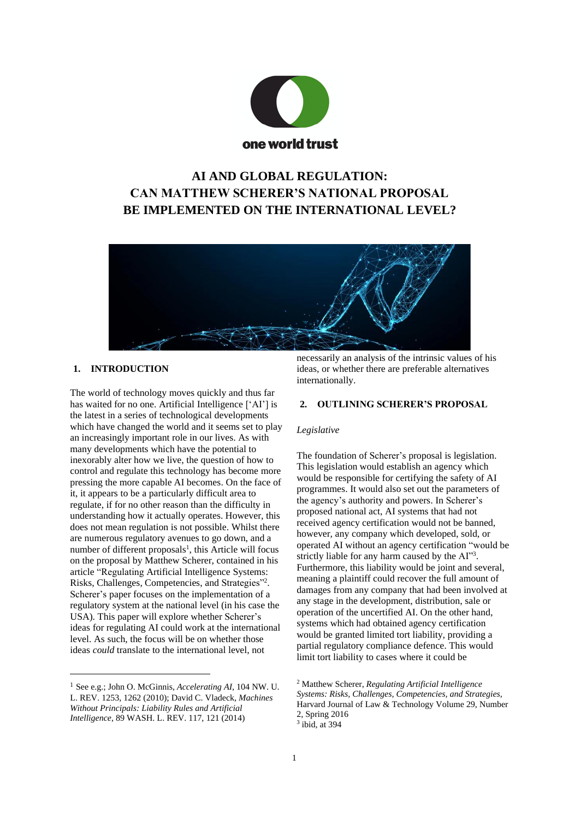

# **AI AND GLOBAL REGULATION: CAN MATTHEW SCHERER'S NATIONAL PROPOSAL BE IMPLEMENTED ON THE INTERNATIONAL LEVEL?**



## **1. INTRODUCTION**

The world of technology moves quickly and thus far has waited for no one. Artificial Intelligence ['AI'] is the latest in a series of technological developments which have changed the world and it seems set to play an increasingly important role in our lives. As with many developments which have the potential to inexorably alter how we live, the question of how to control and regulate this technology has become more pressing the more capable AI becomes. On the face of it, it appears to be a particularly difficult area to regulate, if for no other reason than the difficulty in understanding how it actually operates. However, this does not mean regulation is not possible. Whilst there are numerous regulatory avenues to go down, and a number of different proposals<sup>1</sup>, this Article will focus on the proposal by Matthew Scherer, contained in his article "Regulating Artificial Intelligence Systems: Risks, Challenges, Competencies, and Strategies"<sup>2</sup> . Scherer's paper focuses on the implementation of a regulatory system at the national level (in his case the USA). This paper will explore whether Scherer's ideas for regulating AI could work at the international level. As such, the focus will be on whether those ideas *could* translate to the international level, not

necessarily an analysis of the intrinsic values of his ideas, or whether there are preferable alternatives internationally.

#### **2. OUTLINING SCHERER'S PROPOSAL**

#### *Legislative*

The foundation of Scherer's proposal is legislation. This legislation would establish an agency which would be responsible for certifying the safety of AI programmes. It would also set out the parameters of the agency's authority and powers. In Scherer's proposed national act, AI systems that had not received agency certification would not be banned, however, any company which developed, sold, or operated AI without an agency certification "would be strictly liable for any harm caused by the AI"3. Furthermore, this liability would be joint and several, meaning a plaintiff could recover the full amount of damages from any company that had been involved at any stage in the development, distribution, sale or operation of the uncertified AI. On the other hand, systems which had obtained agency certification would be granted limited tort liability, providing a partial regulatory compliance defence. This would limit tort liability to cases where it could be

<sup>1</sup> See e.g.; John O. McGinnis, *Accelerating AI*, 104 NW. U. L. REV. 1253, 1262 (2010); David C. Vladeck, *Machines Without Principals: Liability Rules and Artificial Intelligence*, 89 WASH. L. REV. 117, 121 (2014)

<sup>2</sup> Matthew Scherer, *Regulating Artificial Intelligence Systems: Risks, Challenges, Competencies, and Strategies*, Harvard Journal of Law & Technology Volume 29, Number 2, Spring 2016

 $3$  ibid, at 394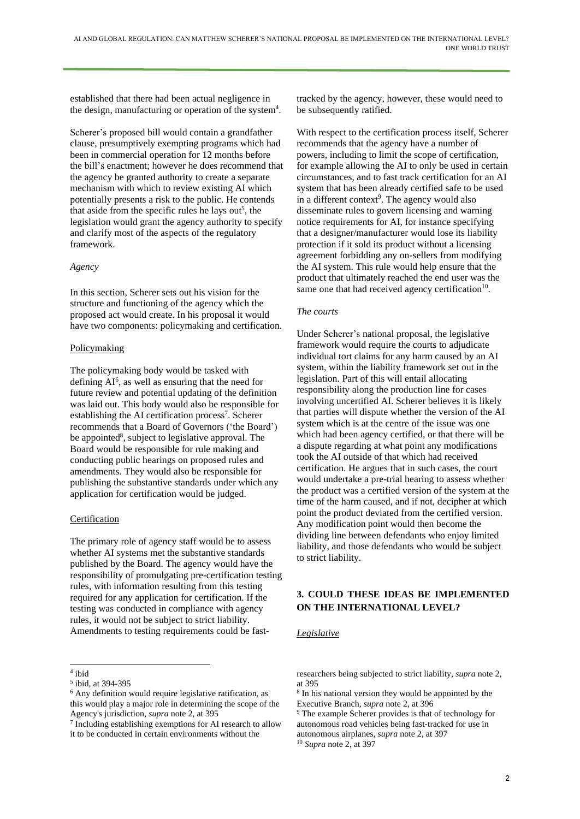established that there had been actual negligence in the design, manufacturing or operation of the system<sup>4</sup>.

Scherer's proposed bill would contain a grandfather clause, presumptively exempting programs which had been in commercial operation for 12 months before the bill's enactment; however he does recommend that the agency be granted authority to create a separate mechanism with which to review existing AI which potentially presents a risk to the public. He contends that aside from the specific rules he lays out<sup>5</sup>, the legislation would grant the agency authority to specify and clarify most of the aspects of the regulatory framework.

## *Agency*

In this section, Scherer sets out his vision for the structure and functioning of the agency which the proposed act would create. In his proposal it would have two components: policymaking and certification.

## Policymaking

The policymaking body would be tasked with defining AI<sup>6</sup>, as well as ensuring that the need for future review and potential updating of the definition was laid out. This body would also be responsible for establishing the AI certification process<sup>7</sup>. Scherer recommends that a Board of Governors ('the Board') be appointed<sup>8</sup>, subject to legislative approval. The Board would be responsible for rule making and conducting public hearings on proposed rules and amendments. They would also be responsible for publishing the substantive standards under which any application for certification would be judged.

## Certification

The primary role of agency staff would be to assess whether AI systems met the substantive standards published by the Board. The agency would have the responsibility of promulgating pre-certification testing rules, with information resulting from this testing required for any application for certification. If the testing was conducted in compliance with agency rules, it would not be subject to strict liability. Amendments to testing requirements could be fasttracked by the agency, however, these would need to be subsequently ratified.

With respect to the certification process itself, Scherer recommends that the agency have a number of powers, including to limit the scope of certification, for example allowing the AI to only be used in certain circumstances, and to fast track certification for an AI system that has been already certified safe to be used in a different context<sup>9</sup>. The agency would also disseminate rules to govern licensing and warning notice requirements for AI, for instance specifying that a designer/manufacturer would lose its liability protection if it sold its product without a licensing agreement forbidding any on-sellers from modifying the AI system. This rule would help ensure that the product that ultimately reached the end user was the same one that had received agency certification $10$ .

## *The courts*

Under Scherer's national proposal, the legislative framework would require the courts to adjudicate individual tort claims for any harm caused by an AI system, within the liability framework set out in the legislation. Part of this will entail allocating responsibility along the production line for cases involving uncertified AI. Scherer believes it is likely that parties will dispute whether the version of the AI system which is at the centre of the issue was one which had been agency certified, or that there will be a dispute regarding at what point any modifications took the AI outside of that which had received certification. He argues that in such cases, the court would undertake a pre-trial hearing to assess whether the product was a certified version of the system at the time of the harm caused, and if not, decipher at which point the product deviated from the certified version. Any modification point would then become the dividing line between defendants who enjoy limited liability, and those defendants who would be subject to strict liability.

# **3. COULD THESE IDEAS BE IMPLEMENTED ON THE INTERNATIONAL LEVEL?**

## *Legislative*

<sup>4</sup> ibid

<sup>5</sup> ibid, at 394-395

<sup>6</sup> Any definition would require legislative ratification, as this would play a major role in determining the scope of the Agency's jurisdiction, *supra* note 2, at 395

<sup>7</sup> Including establishing exemptions for AI research to allow it to be conducted in certain environments without the

researchers being subjected to strict liability, *supra* note 2, at 395

<sup>8</sup> In his national version they would be appointed by the Executive Branch, *supra* note 2, at 396

<sup>9</sup> The example Scherer provides is that of technology for autonomous road vehicles being fast-tracked for use in autonomous airplanes, *supra* note 2, at 397 <sup>10</sup> *Supra* note 2, at 397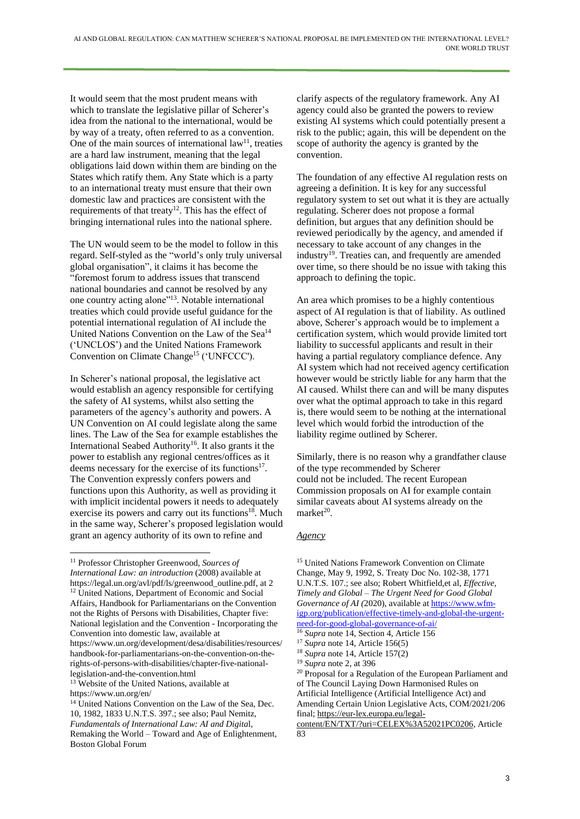It would seem that the most prudent means with which to translate the legislative pillar of Scherer's idea from the national to the international, would be by way of a treaty, often referred to as a convention. One of the main sources of international  $law<sup>11</sup>$ , treaties are a hard law instrument, meaning that the legal obligations laid down within them are binding on the States which ratify them. Any State which is a party to an international treaty must ensure that their own domestic law and practices are consistent with the requirements of that treaty<sup>12</sup>. This has the effect of bringing international rules into the national sphere.

The UN would seem to be the model to follow in this regard. Self-styled as the "world's only truly universal global organisation", it claims it has become the "foremost forum to address issues that transcend national boundaries and cannot be resolved by any one country acting alone"<sup>13</sup>. Notable international treaties which could provide useful guidance for the potential international regulation of AI include the United Nations Convention on the Law of the Sea<sup>14</sup> ('UNCLOS') and the United Nations Framework Convention on Climate Change<sup>15</sup> ('UNFCCC').

In Scherer's national proposal, the legislative act would establish an agency responsible for certifying the safety of AI systems, whilst also setting the parameters of the agency's authority and powers. A UN Convention on AI could legislate along the same lines. The Law of the Sea for example establishes the International Seabed Authority<sup>16</sup>. It also grants it the power to establish any regional centres/offices as it deems necessary for the exercise of its functions<sup>17</sup>. The Convention expressly confers powers and functions upon this Authority, as well as providing it with implicit incidental powers it needs to adequately exercise its powers and carry out its functions<sup>18</sup>. Much in the same way, Scherer's proposed legislation would grant an agency authority of its own to refine and

clarify aspects of the regulatory framework. Any AI agency could also be granted the powers to review existing AI systems which could potentially present a risk to the public; again, this will be dependent on the scope of authority the agency is granted by the convention.

The foundation of any effective AI regulation rests on agreeing a definition. It is key for any successful regulatory system to set out what it is they are actually regulating. Scherer does not propose a formal definition, but argues that any definition should be reviewed periodically by the agency, and amended if necessary to take account of any changes in the industry<sup>19</sup>. Treaties can, and frequently are amended over time, so there should be no issue with taking this approach to defining the topic.

An area which promises to be a highly contentious aspect of AI regulation is that of liability. As outlined above, Scherer's approach would be to implement a certification system, which would provide limited tort liability to successful applicants and result in their having a partial regulatory compliance defence. Any AI system which had not received agency certification however would be strictly liable for any harm that the AI caused. Whilst there can and will be many disputes over what the optimal approach to take in this regard is, there would seem to be nothing at the international level which would forbid the introduction of the liability regime outlined by Scherer.

Similarly, there is no reason why a grandfather clause of the type recommended by Scherer could not be included. The recent European Commission proposals on AI for example contain similar caveats about AI systems already on the  $market^{20}$ .

## *Agency*

<sup>11</sup> Professor Christopher Greenwood, *Sources of International Law: an introduction* (2008) available at https://legal.un.org/avl/pdf/ls/greenwood\_outline.pdf, at 2 <sup>12</sup> United Nations, Department of Economic and Social Affairs, Handbook for Parliamentarians on the Convention not the Rights of Persons with Disabilities, Chapter five: National legislation and the Convention - Incorporating the Convention into domestic law, available at https://www.un.org/development/desa/disabilities/resources/ handbook-for-parliamentarians-on-the-convention-on-therights-of-persons-with-disabilities/chapter-five-nationallegislation-and-the-convention.html

<sup>&</sup>lt;sup>13</sup> Website of the United Nations, available at https://www.un.org/en/

<sup>14</sup> United Nations Convention on the Law of the Sea, Dec. 10, 1982, 1833 U.N.T.S. 397.; see also; Paul Nemitz, *Fundamentals of International Law: AI and Digita*l, Remaking the World – Toward and Age of Enlightenment*,* Boston Global Forum

<sup>15</sup> United Nations Framework Convention on Climate Change, May 9, 1992, S. Treaty Doc No. 102-38, 1771 U.N.T.S. 107.; see also; Robert Whitfield,et al, *Effective, Timely and Global – The Urgent Need for Good Global Governance of AI (*2020)*,* available at [https://www.wfm](https://www.wfm-igp.org/publication/effective-timely-and-global-the-urgent-need-for-good-global-governance-of-ai/)[igp.org/publication/effective-timely-and-global-the-urgent](https://www.wfm-igp.org/publication/effective-timely-and-global-the-urgent-need-for-good-global-governance-of-ai/)[need-for-good-global-governance-of-ai/](https://www.wfm-igp.org/publication/effective-timely-and-global-the-urgent-need-for-good-global-governance-of-ai/)

<sup>16</sup> *Supra* note 14, Section 4, Article 156

<sup>17</sup> *Supra* note 14, Article 156(5)

<sup>18</sup> *Supra* note 14, Article 157(2)

<sup>19</sup> *Supra* note 2, at 396

<sup>20</sup> Proposal for a Regulation of the European Parliament and of The Council Laying Down Harmonised Rules on Artificial Intelligence (Artificial Intelligence Act) and Amending Certain Union Legislative Acts, COM/2021/206 final; [https://eur-lex.europa.eu/legal-](https://eur-lex.europa.eu/legal-content/EN/TXT/?uri=CELEX%253A52021PC0206)

[content/EN/TXT/?uri=CELEX%3A52021PC0206,](https://eur-lex.europa.eu/legal-content/EN/TXT/?uri=CELEX%253A52021PC0206) Article 83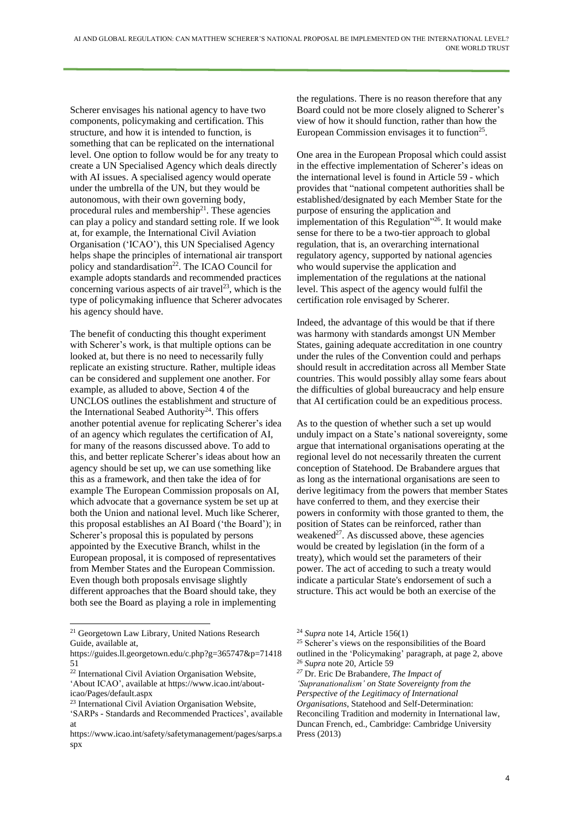Scherer envisages his national agency to have two components, policymaking and certification. This structure, and how it is intended to function, is something that can be replicated on the international level. One option to follow would be for any treaty to create a UN Specialised Agency which deals directly with AI issues. A specialised agency would operate under the umbrella of the UN, but they would be autonomous, with their own governing body, procedural rules and membership<sup>21</sup>. These agencies can play a policy and standard setting role. If we look at, for example, the International Civil Aviation Organisation ('ICAO'), this UN Specialised Agency helps shape the principles of international air transport policy and standardisation<sup>22</sup>. The ICAO Council for example adopts standards and recommended practices concerning various aspects of air travel<sup>23</sup>, which is the type of policymaking influence that Scherer advocates his agency should have.

The benefit of conducting this thought experiment with Scherer's work, is that multiple options can be looked at, but there is no need to necessarily fully replicate an existing structure. Rather, multiple ideas can be considered and supplement one another. For example, as alluded to above, Section 4 of the UNCLOS outlines the establishment and structure of the International Seabed Authority<sup>24</sup>. This offers another potential avenue for replicating Scherer's idea of an agency which regulates the certification of AI, for many of the reasons discussed above. To add to this, and better replicate Scherer's ideas about how an agency should be set up, we can use something like this as a framework, and then take the idea of for example The European Commission proposals on AI, which advocate that a governance system be set up at both the Union and national level. Much like Scherer, this proposal establishes an AI Board ('the Board'); in Scherer's proposal this is populated by persons appointed by the Executive Branch, whilst in the European proposal, it is composed of representatives from Member States and the European Commission. Even though both proposals envisage slightly different approaches that the Board should take, they both see the Board as playing a role in implementing

<sup>22</sup> International Civil Aviation Organisation Website, 'About ICAO', available at https://www.icao.int/about-

the regulations. There is no reason therefore that any Board could not be more closely aligned to Scherer's view of how it should function, rather than how the European Commission envisages it to function<sup>25</sup>.

One area in the European Proposal which could assist in the effective implementation of Scherer's ideas on the international level is found in Article 59 - which provides that "national competent authorities shall be established/designated by each Member State for the purpose of ensuring the application and implementation of this Regulation"<sup>26</sup>. It would make sense for there to be a two-tier approach to global regulation, that is, an overarching international regulatory agency, supported by national agencies who would supervise the application and implementation of the regulations at the national level. This aspect of the agency would fulfil the certification role envisaged by Scherer.

Indeed, the advantage of this would be that if there was harmony with standards amongst UN Member States, gaining adequate accreditation in one country under the rules of the Convention could and perhaps should result in accreditation across all Member State countries. This would possibly allay some fears about the difficulties of global bureaucracy and help ensure that AI certification could be an expeditious process.

As to the question of whether such a set up would unduly impact on a State's national sovereignty, some argue that international organisations operating at the regional level do not necessarily threaten the current conception of Statehood. De Brabandere argues that as long as the international organisations are seen to derive legitimacy from the powers that member States have conferred to them, and they exercise their powers in conformity with those granted to them, the position of States can be reinforced, rather than weakened<sup>27</sup>. As discussed above, these agencies would be created by legislation (in the form of a treaty), which would set the parameters of their power. The act of acceding to such a treaty would indicate a particular State's endorsement of such a structure. This act would be both an exercise of the

<sup>&</sup>lt;sup>21</sup> Georgetown Law Library, United Nations Research Guide, available at,

https://guides.ll.georgetown.edu/c.php?g=365747&p=71418 51

icao/Pages/default.aspx

<sup>23</sup> International Civil Aviation Organisation Website,

<sup>&#</sup>x27;SARPs - Standards and Recommended Practices', available at

https://www.icao.int/safety/safetymanagement/pages/sarps.a spx

<sup>24</sup> *Supra* note 14, Article 156(1)

<sup>&</sup>lt;sup>25</sup> Scherer's views on the responsibilities of the Board outlined in the 'Policymaking' paragraph, at page 2, above <sup>26</sup> *Supra* note 20, Article 59

*<sup>27</sup>* Dr. Eric De Brabandere, *The Impact of*

*<sup>&#</sup>x27;Supranationalism' on State Sovereignty from the*

*Perspective of the Legitimacy of International*

*Organisations*, Statehood and Self-Determination:

Reconciling Tradition and modernity in International law, Duncan French, ed., Cambridge: Cambridge University Press (2013)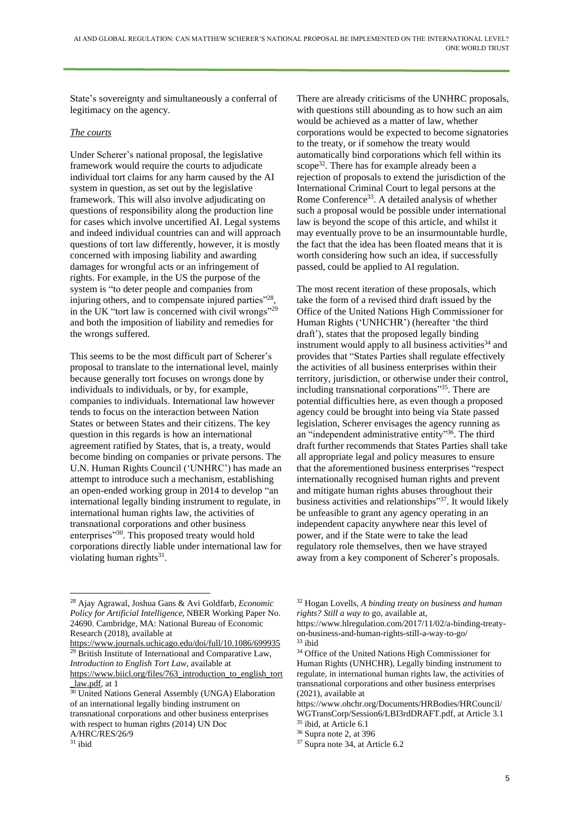State's sovereignty and simultaneously a conferral of legitimacy on the agency.

## *The courts*

Under Scherer's national proposal, the legislative framework would require the courts to adjudicate individual tort claims for any harm caused by the AI system in question, as set out by the legislative framework. This will also involve adjudicating on questions of responsibility along the production line for cases which involve uncertified AI. Legal systems and indeed individual countries can and will approach questions of tort law differently, however, it is mostly concerned with imposing liability and awarding damages for wrongful acts or an infringement of rights. For example, in the US the purpose of the system is "to deter people and companies from injuring others, and to compensate injured parties"<sup>28</sup>, in the UK "tort law is concerned with civil wrongs"<sup>29</sup> and both the imposition of liability and remedies for the wrongs suffered.

This seems to be the most difficult part of Scherer's proposal to translate to the international level, mainly because generally tort focuses on wrongs done by individuals to individuals, or by, for example, companies to individuals. International law however tends to focus on the interaction between Nation States or between States and their citizens. The key question in this regards is how an international agreement ratified by States, that is, a treaty, would become binding on companies or private persons. The U.N. Human Rights Council ('UNHRC') has made an attempt to introduce such a mechanism, establishing an open-ended working group in 2014 to develop "an international legally binding instrument to regulate, in international human rights law, the activities of transnational corporations and other business enterprises"<sup>30</sup>. This proposed treaty would hold corporations directly liable under international law for violating human rights<sup>31</sup>.

There are already criticisms of the UNHRC proposals, with questions still abounding as to how such an aim would be achieved as a matter of law, whether corporations would be expected to become signatories to the treaty, or if somehow the treaty would automatically bind corporations which fell within its scope<sup>32</sup>. There has for example already been a rejection of proposals to extend the jurisdiction of the International Criminal Court to legal persons at the Rome Conference<sup>33</sup>. A detailed analysis of whether such a proposal would be possible under international law is beyond the scope of this article, and whilst it may eventually prove to be an insurmountable hurdle, the fact that the idea has been floated means that it is worth considering how such an idea, if successfully passed, could be applied to AI regulation.

The most recent iteration of these proposals, which take the form of a revised third draft issued by the Office of the United Nations High Commissioner for Human Rights ('UNHCHR') (hereafter 'the third draft'), states that the proposed legally binding instrument would apply to all business activities<sup>34</sup> and provides that "States Parties shall regulate effectively the activities of all business enterprises within their territory, jurisdiction, or otherwise under their control, including transnational corporations"<sup>35</sup>. There are potential difficulties here, as even though a proposed agency could be brought into being via State passed legislation, Scherer envisages the agency running as an "independent administrative entity"<sup>36</sup>. The third draft further recommends that States Parties shall take all appropriate legal and policy measures to ensure that the aforementioned business enterprises "respect internationally recognised human rights and prevent and mitigate human rights abuses throughout their business activities and relationships"<sup>37</sup>. It would likely be unfeasible to grant any agency operating in an independent capacity anywhere near this level of power, and if the State were to take the lead regulatory role themselves, then we have strayed away from a key component of Scherer's proposals.

<https://www.journals.uchicago.edu/doi/full/10.1086/699935> <sup>29</sup> British Institute of International and Comparative Law, *Introduction to English Tort Law*, available at

[https://www.biicl.org/files/763\\_introduction\\_to\\_english\\_tort](https://www.biicl.org/files/763_introduction_to_english_tort_law.pdf) law.pdf, at 1

<sup>28</sup> Ajay Agrawal, Joshua Gans & Avi Goldfarb, *Economic Policy for Artificial Intelligence*, NBER Working Paper No. 24690. Cambridge, MA: National Bureau of Economic Research (2018), available at

<sup>&</sup>lt;sup>30</sup> United Nations General Assembly (UNGA) Elaboration of an international legally binding instrument on transnational corporations and other business enterprises with respect to human rights (2014) UN Doc A/HRC/RES/26/9

 $31$  ibid

<sup>32</sup> Hogan Lovells, *A binding treaty on business and human rights? Still a way to* go, available at,

https://www.hlregulation.com/2017/11/02/a-binding-treatyon-business-and-human-rights-still-a-way-to-go/ <sup>33</sup> ibid

<sup>34</sup> Office of the United Nations High Commissioner for Human Rights (UNHCHR), Legally binding instrument to regulate, in international human rights law, the activities of transnational corporations and other business enterprises (2021), available at

https://www.ohchr.org/Documents/HRBodies/HRCouncil/ WGTransCorp/Session6/LBI3rdDRAFT.pdf, at Article 3.1 <sup>35</sup> ibid, at Article 6.1

<sup>36</sup> Supra note 2, at 396

<sup>&</sup>lt;sup>37</sup> Supra note 34, at Article 6.2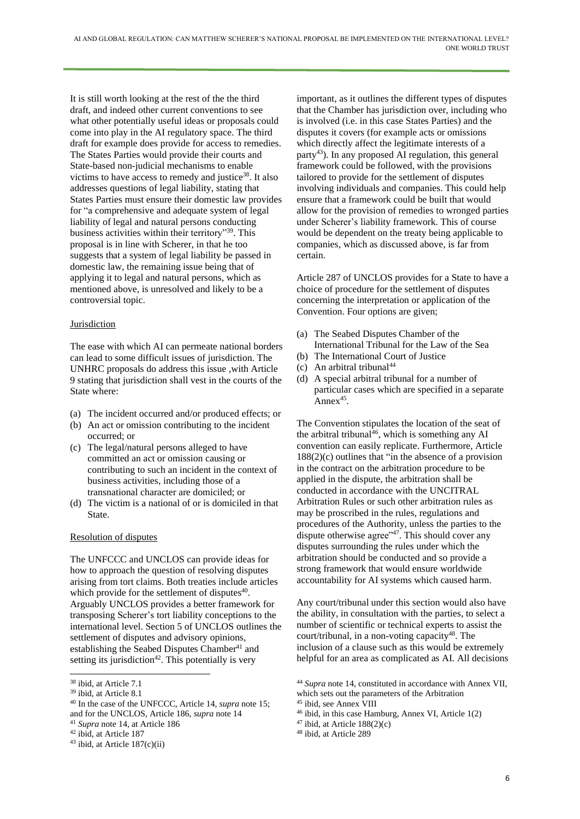It is still worth looking at the rest of the the third draft, and indeed other current conventions to see what other potentially useful ideas or proposals could come into play in the AI regulatory space. The third draft for example does provide for access to remedies. The States Parties would provide their courts and State-based non-judicial mechanisms to enable victims to have access to remedy and justice $38$ . It also addresses questions of legal liability, stating that States Parties must ensure their domestic law provides for "a comprehensive and adequate system of legal liability of legal and natural persons conducting business activities within their territory"<sup>39</sup>. This proposal is in line with Scherer, in that he too suggests that a system of legal liability be passed in domestic law, the remaining issue being that of applying it to legal and natural persons, which as mentioned above, is unresolved and likely to be a controversial topic.

## **Jurisdiction**

The ease with which AI can permeate national borders can lead to some difficult issues of jurisdiction. The UNHRC proposals do address this issue ,with Article 9 stating that jurisdiction shall vest in the courts of the State where:

- (a) The incident occurred and/or produced effects; or
- (b) An act or omission contributing to the incident occurred; or
- (c) The legal/natural persons alleged to have committed an act or omission causing or contributing to such an incident in the context of business activities, including those of a transnational character are domiciled; or
- (d) The victim is a national of or is domiciled in that State.

## Resolution of disputes

The UNFCCC and UNCLOS can provide ideas for how to approach the question of resolving disputes arising from tort claims. Both treaties include articles which provide for the settlement of disputes<sup>40</sup>. Arguably UNCLOS provides a better framework for transposing Scherer's tort liability conceptions to the international level. Section 5 of UNCLOS outlines the settlement of disputes and advisory opinions, establishing the Seabed Disputes Chamber<sup>41</sup> and setting its jurisdiction<sup>42</sup>. This potentially is very

- <sup>40</sup> In the case of the UNFCCC, Article 14, *supra* note 15; and for the UNCLOS, Article 186, *supra* note 14
- <sup>41</sup> *Supra* note 14, at Article 186
- <sup>42</sup> ibid, at Article 187

important, as it outlines the different types of disputes that the Chamber has jurisdiction over, including who is involved (i.e. in this case States Parties) and the disputes it covers (for example acts or omissions which directly affect the legitimate interests of a party<sup>43</sup>). In any proposed AI regulation, this general framework could be followed, with the provisions tailored to provide for the settlement of disputes involving individuals and companies. This could help ensure that a framework could be built that would allow for the provision of remedies to wronged parties under Scherer's liability framework. This of course would be dependent on the treaty being applicable to companies, which as discussed above, is far from certain.

Article 287 of UNCLOS provides for a State to have a choice of procedure for the settlement of disputes concerning the interpretation or application of the Convention. Four options are given;

- (a) The Seabed Disputes Chamber of the International Tribunal for the Law of the Sea
- (b) The International Court of Justice
- (c) An arbitral tribunal<sup>44</sup>
- (d) A special arbitral tribunal for a number of particular cases which are specified in a separate Anne $x^{45}$ .

The Convention stipulates the location of the seat of the arbitral tribunal<sup>46</sup>, which is something any AI convention can easily replicate. Furthermore, Article  $188(2)(c)$  outlines that "in the absence of a provision in the contract on the arbitration procedure to be applied in the dispute, the arbitration shall be conducted in accordance with the UNCITRAL Arbitration Rules or such other arbitration rules as may be proscribed in the rules, regulations and procedures of the Authority, unless the parties to the dispute otherwise agree"<sup>47</sup>. This should cover any disputes surrounding the rules under which the arbitration should be conducted and so provide a strong framework that would ensure worldwide accountability for AI systems which caused harm.

Any court/tribunal under this section would also have the ability, in consultation with the parties, to select a number of scientific or technical experts to assist the court/tribunal, in a non-voting capacity<sup>48</sup>. The inclusion of a clause such as this would be extremely helpful for an area as complicated as AI. All decisions

- <sup>46</sup> ibid, in this case Hamburg, Annex VI, Article 1(2)
- $47$  ibid, at Article 188(2)(c)

<sup>38</sup> ibid, at Article 7.1

<sup>&</sup>lt;sup>39</sup> ibid, at Article 8.1

 $43$  ibid, at Article 187(c)(ii)

<sup>44</sup> *Supra* note 14, constituted in accordance with Annex VII, which sets out the parameters of the Arbitration

<sup>45</sup> ibid, see Annex VIII

<sup>48</sup> ibid, at Article 289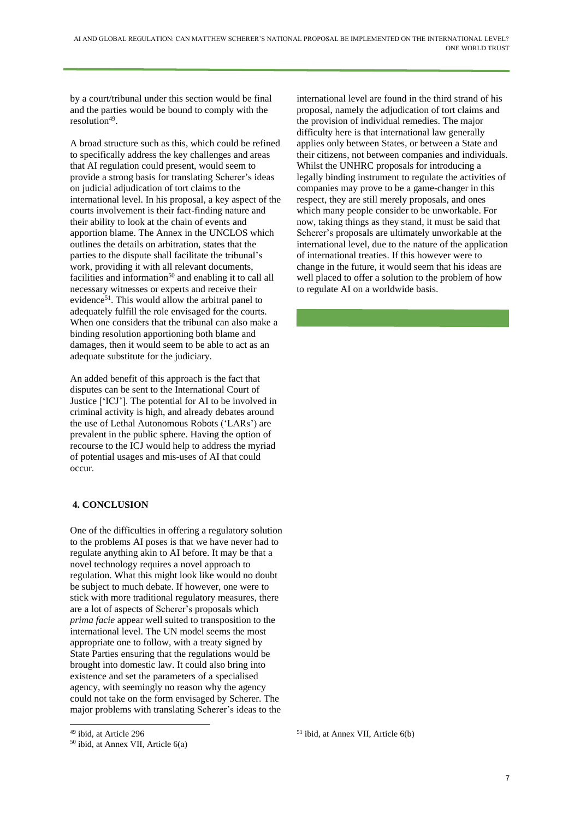by a court/tribunal under this section would be final and the parties would be bound to comply with the resolution<sup>49</sup>.

A broad structure such as this, which could be refined to specifically address the key challenges and areas that AI regulation could present, would seem to provide a strong basis for translating Scherer's ideas on judicial adjudication of tort claims to the international level. In his proposal, a key aspect of the courts involvement is their fact-finding nature and their ability to look at the chain of events and apportion blame. The Annex in the UNCLOS which outlines the details on arbitration, states that the parties to the dispute shall facilitate the tribunal's work, providing it with all relevant documents, facilities and information<sup>50</sup> and enabling it to call all necessary witnesses or experts and receive their evidence<sup>51</sup>. This would allow the arbitral panel to adequately fulfill the role envisaged for the courts. When one considers that the tribunal can also make a binding resolution apportioning both blame and damages, then it would seem to be able to act as an adequate substitute for the judiciary.

An added benefit of this approach is the fact that disputes can be sent to the International Court of Justice ['ICJ']. The potential for AI to be involved in criminal activity is high, and already debates around the use of Lethal Autonomous Robots ('LARs') are prevalent in the public sphere. Having the option of recourse to the ICJ would help to address the myriad of potential usages and mis-uses of AI that could occur.

## **4. CONCLUSION**

One of the difficulties in offering a regulatory solution to the problems AI poses is that we have never had to regulate anything akin to AI before. It may be that a novel technology requires a novel approach to regulation. What this might look like would no doubt be subject to much debate. If however, one were to stick with more traditional regulatory measures, there are a lot of aspects of Scherer's proposals which *prima facie* appear well suited to transposition to the international level. The UN model seems the most appropriate one to follow, with a treaty signed by State Parties ensuring that the regulations would be brought into domestic law. It could also bring into existence and set the parameters of a specialised agency, with seemingly no reason why the agency could not take on the form envisaged by Scherer. The major problems with translating Scherer's ideas to the

international level are found in the third strand of his proposal, namely the adjudication of tort claims and the provision of individual remedies. The major difficulty here is that international law generally applies only between States, or between a State and their citizens, not between companies and individuals. Whilst the UNHRC proposals for introducing a legally binding instrument to regulate the activities of companies may prove to be a game-changer in this respect, they are still merely proposals, and ones which many people consider to be unworkable. For now, taking things as they stand, it must be said that Scherer's proposals are ultimately unworkable at the international level, due to the nature of the application of international treaties. If this however were to change in the future, it would seem that his ideas are well placed to offer a solution to the problem of how to regulate AI on a worldwide basis.

<sup>51</sup> ibid, at Annex VII, Article 6(b)

<sup>49</sup> ibid, at Article 296

<sup>50</sup> ibid, at Annex VII, Article 6(a)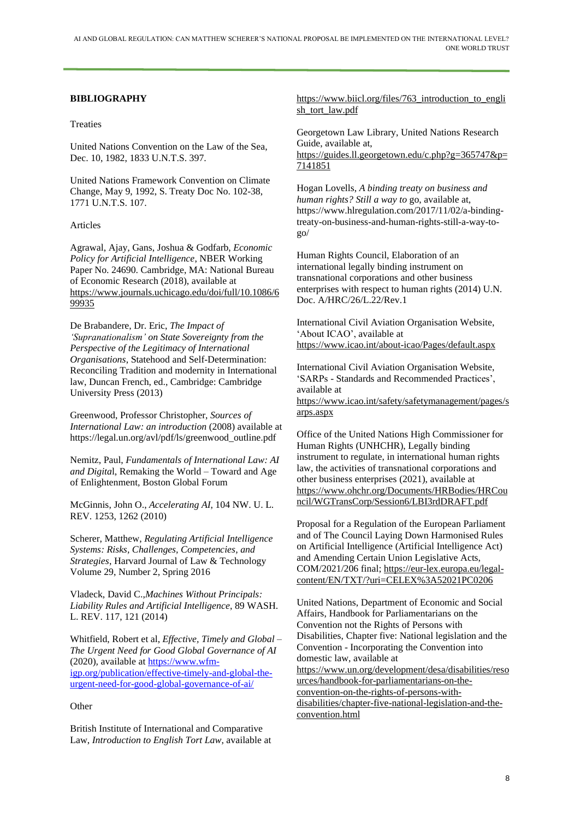## **BIBLIOGRAPHY**

#### Treaties

United Nations Convention on the Law of the Sea, Dec. 10, 1982, 1833 U.N.T.S. 397.

United Nations Framework Convention on Climate Change, May 9, 1992, S. Treaty Doc No. 102-38, 1771 U.N.T.S. 107.

#### Articles

Agrawal, Ajay, Gans, Joshua & Godfarb, *Economic Policy for Artificial Intelligence*, NBER Working Paper No. 24690. Cambridge, MA: National Bureau of Economic Research (2018), available at [https://www.journals.uchicago.edu/doi/full/10.1086/6](https://www.journals.uchicago.edu/doi/full/10.1086/699935) [99935](https://www.journals.uchicago.edu/doi/full/10.1086/699935)

De Brabandere, Dr. Eric, *The Impact of 'Supranationalism' on State Sovereignty from the Perspective of the Legitimacy of International Organisations*, Statehood and Self-Determination: Reconciling Tradition and modernity in International law, Duncan French, ed., Cambridge: Cambridge University Press (2013)

Greenwood, Professor Christopher, *Sources of International Law: an introduction* (2008) available at https://legal.un.org/avl/pdf/ls/greenwood\_outline.pdf

Nemitz, Paul, *Fundamentals of International Law: AI and Digita*l, Remaking the World – Toward and Age of Enlightenment*,* Boston Global Forum

McGinnis, John O., *Accelerating AI*, 104 NW. U. L. REV. 1253, 1262 (2010)

Scherer, Matthew, *Regulating Artificial Intelligence Systems: Risks, Challenges, Competencies, and Strategies*, Harvard Journal of Law & Technology Volume 29, Number 2, Spring 2016

Vladeck, David C.,*Machines Without Principals: Liability Rules and Artificial Intelligence*, 89 WASH. L. REV. 117, 121 (2014)

Whitfield, Robert et al, *Effective, Timely and Global – The Urgent Need for Good Global Governance of AI* (2020)*,* available at [https://www.wfm](https://www.wfm-igp.org/publication/effective-timely-and-global-the-urgent-need-for-good-global-governance-of-ai/)[igp.org/publication/effective-timely-and-global-the](https://www.wfm-igp.org/publication/effective-timely-and-global-the-urgent-need-for-good-global-governance-of-ai/)[urgent-need-for-good-global-governance-of-ai/](https://www.wfm-igp.org/publication/effective-timely-and-global-the-urgent-need-for-good-global-governance-of-ai/)

#### **Other**

British Institute of International and Comparative Law, *Introduction to English Tort Law*, available at [https://www.biicl.org/files/763\\_introduction\\_to\\_engli](https://www.biicl.org/files/763_introduction_to_english_tort_law.pdf) [sh\\_tort\\_law.pdf](https://www.biicl.org/files/763_introduction_to_english_tort_law.pdf)

Georgetown Law Library, United Nations Research Guide, available at, [https://guides.ll.georgetown.edu/c.php?g=365747&p=](https://guides.ll.georgetown.edu/c.php?g=365747&p=7141851)

[7141851](https://guides.ll.georgetown.edu/c.php?g=365747&p=7141851) Hogan Lovells, *A binding treaty on business and human rights? Still a way to* go, available at,

https://www.hlregulation.com/2017/11/02/a-bindingtreaty-on-business-and-human-rights-still-a-way-togo/

Human Rights Council, Elaboration of an international legally binding instrument on transnational corporations and other business enterprises with respect to human rights (2014) U.N. Doc. A/HRC/26/L.22/Rev.1

International Civil Aviation Organisation Website, 'About ICAO', available at <https://www.icao.int/about-icao/Pages/default.aspx>

International Civil Aviation Organisation Website, 'SARPs - Standards and Recommended Practices', available at

[https://www.icao.int/safety/safetymanagement/pages/s](https://www.icao.int/safety/safetymanagement/pages/sarps.aspx) [arps.aspx](https://www.icao.int/safety/safetymanagement/pages/sarps.aspx)

Office of the United Nations High Commissioner for Human Rights (UNHCHR), Legally binding instrument to regulate, in international human rights law, the activities of transnational corporations and other business enterprises (2021), available at [https://www.ohchr.org/Documents/HRBodies/HRCou](https://www.ohchr.org/Documents/HRBodies/HRCouncil/WGTransCorp/Session6/LBI3rdDRAFT.pdf) [ncil/WGTransCorp/Session6/LBI3rdDRAFT.pdf](https://www.ohchr.org/Documents/HRBodies/HRCouncil/WGTransCorp/Session6/LBI3rdDRAFT.pdf)

Proposal for a Regulation of the European Parliament and of The Council Laying Down Harmonised Rules on Artificial Intelligence (Artificial Intelligence Act) and Amending Certain Union Legislative Acts, COM/2021/206 final; [https://eur-lex.europa.eu/legal](https://eur-lex.europa.eu/legal-content/EN/TXT/?uri=CELEX%253A52021PC0206)[content/EN/TXT/?uri=CELEX%3A52021PC0206](https://eur-lex.europa.eu/legal-content/EN/TXT/?uri=CELEX%253A52021PC0206)

United Nations, Department of Economic and Social Affairs, Handbook for Parliamentarians on the Convention not the Rights of Persons with Disabilities, Chapter five: National legislation and the Convention - Incorporating the Convention into domestic law, available at [https://www.un.org/development/desa/disabilities/reso](https://www.un.org/development/desa/disabilities/resources/handbook-for-parliamentarians-on-the-convention-on-the-rights-of-persons-with-disabilities/chapter-five-national-legislation-and-the-convention.html) [urces/handbook-for-parliamentarians-on-the](https://www.un.org/development/desa/disabilities/resources/handbook-for-parliamentarians-on-the-convention-on-the-rights-of-persons-with-disabilities/chapter-five-national-legislation-and-the-convention.html)[convention-on-the-rights-of-persons-with](https://www.un.org/development/desa/disabilities/resources/handbook-for-parliamentarians-on-the-convention-on-the-rights-of-persons-with-disabilities/chapter-five-national-legislation-and-the-convention.html)[disabilities/chapter-five-national-legislation-and-the](https://www.un.org/development/desa/disabilities/resources/handbook-for-parliamentarians-on-the-convention-on-the-rights-of-persons-with-disabilities/chapter-five-national-legislation-and-the-convention.html)[convention.html](https://www.un.org/development/desa/disabilities/resources/handbook-for-parliamentarians-on-the-convention-on-the-rights-of-persons-with-disabilities/chapter-five-national-legislation-and-the-convention.html)